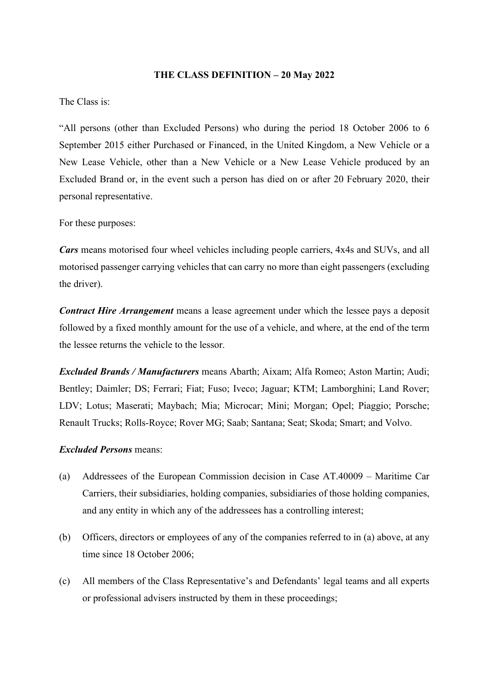#### **THE CLASS DEFINITION – 20 May 2022**

### The Class is:

"All persons (other than Excluded Persons) who during the period 18 October 2006 to 6 September 2015 either Purchased or Financed, in the United Kingdom, a New Vehicle or a New Lease Vehicle, other than a New Vehicle or a New Lease Vehicle produced by an Excluded Brand or, in the event such a person has died on or after 20 February 2020, their personal representative.

# For these purposes:

*Cars* means motorised four wheel vehicles including people carriers, 4x4s and SUVs, and all motorised passenger carrying vehicles that can carry no more than eight passengers (excluding the driver).

*Contract Hire Arrangement* means a lease agreement under which the lessee pays a deposit followed by a fixed monthly amount for the use of a vehicle, and where, at the end of the term the lessee returns the vehicle to the lessor.

*Excluded Brands / Manufacturers* means Abarth; Aixam; Alfa Romeo; Aston Martin; Audi; Bentley; Daimler; DS; Ferrari; Fiat; Fuso; Iveco; Jaguar; KTM; Lamborghini; Land Rover; LDV; Lotus; Maserati; Maybach; Mia; Microcar; Mini; Morgan; Opel; Piaggio; Porsche; Renault Trucks; Rolls-Royce; Rover MG; Saab; Santana; Seat; Skoda; Smart; and Volvo.

# *Excluded Persons* means:

- (a) Addressees of the European Commission decision in Case AT.40009 Maritime Car Carriers, their subsidiaries, holding companies, subsidiaries of those holding companies, and any entity in which any of the addressees has a controlling interest;
- (b) Officers, directors or employees of any of the companies referred to in (a) above, at any time since 18 October 2006;
- (c) All members of the Class Representative's and Defendants' legal teams and all experts or professional advisers instructed by them in these proceedings;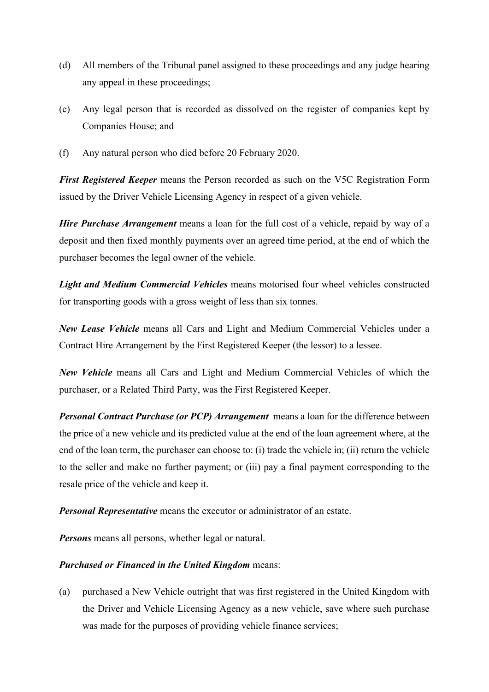- (d) All members of the Tribunal panel assigned to these proceedings and any judge hearing any appeal in these proceedings;
- (e) Any legal person that is recorded as dissolved on the register of companies kept by Companies House; and
- (f) Any natural person who died before 20 February 2020.

*First Registered Keeper* means the Person recorded as such on the V5C Registration Form issued by the Driver Vehicle Licensing Agency in respect of a given vehicle.

*Hire Purchase Arrangement* means a loan for the full cost of a vehicle, repaid by way of a deposit and then fixed monthly payments over an agreed time period, at the end of which the purchaser becomes the legal owner of the vehicle.

*Light and Medium Commercial Vehicles* means motorised four wheel vehicles constructed for transporting goods with a gross weight of less than six tonnes.

*New Lease Vehicle* means all Cars and Light and Medium Commercial Vehicles under a Contract Hire Arrangement by the First Registered Keeper (the lessor) to a lessee.

*New Vehicle* means all Cars and Light and Medium Commercial Vehicles of which the purchaser, or a Related Third Party, was the First Registered Keeper.

*Personal Contract Purchase (or PCP) Arrangement* means a loan for the difference between the price of a new vehicle and its predicted value at the end of the loan agreement where, at the end of the loan term, the purchaser can choose to: (i) trade the vehicle in; (ii) return the vehicle to the seller and make no further payment; or (iii) pay a final payment corresponding to the resale price of the vehicle and keep it.

*Personal Representative* means the executor or administrator of an estate.

*Persons* means all persons, whether legal or natural.

# *Purchased or Financed in the United Kingdom* means:

(a) purchased a New Vehicle outright that was first registered in the United Kingdom with the Driver and Vehicle Licensing Agency as a new vehicle, save where such purchase was made for the purposes of providing vehicle finance services;